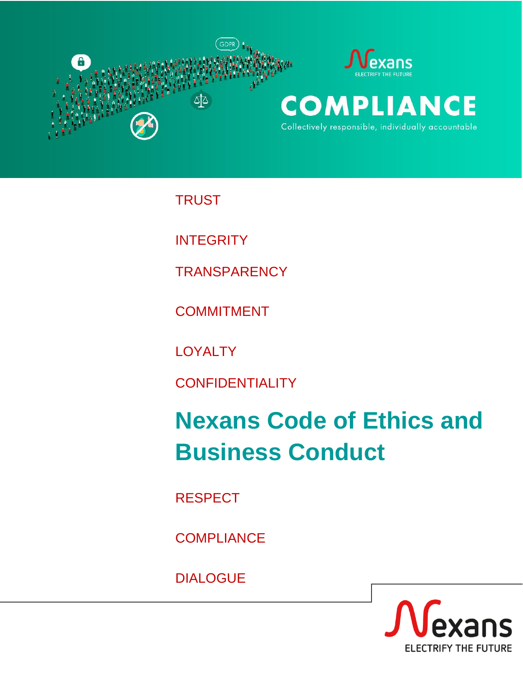

**TRUST** 

**INTEGRITY** 

**TRANSPARENCY** 

**COMMITMENT** 

**LOYALTY** 

**CONFIDENTIALITY** 

# **Nexans Code of Ethics and Business Conduct**

RESPECT

**COMPLIANCE** 

DIALOGUE

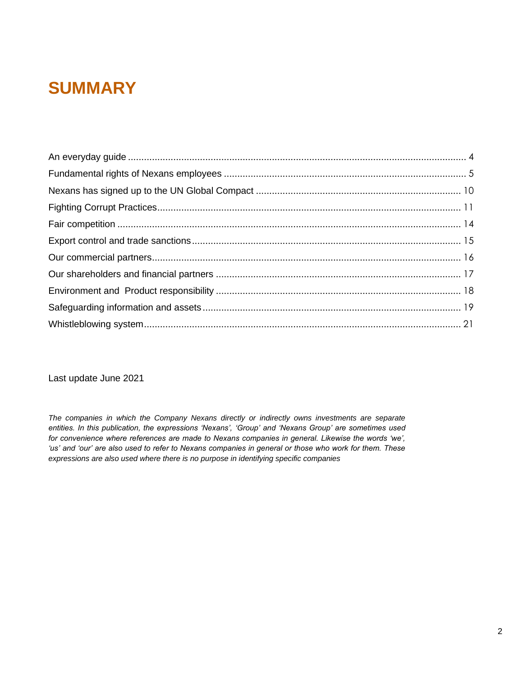### **SUMMARY**

Last update June 2021

*The companies in which the Company Nexans directly or indirectly owns investments are separate entities. In this publication, the expressions 'Nexans', 'Group' and 'Nexans Group' are sometimes used for convenience where references are made to Nexans companies in general. Likewise the words 'we',*  'us' and 'our' are also used to refer to Nexans companies in general or those who work for them. These *expressions are also used where there is no purpose in identifying specific companies*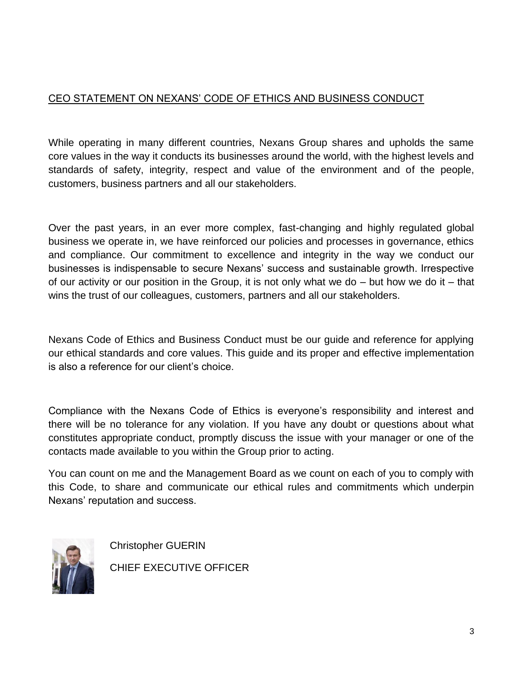### CEO STATEMENT ON NEXANS' CODE OF ETHICS AND BUSINESS CONDUCT

While operating in many different countries, Nexans Group shares and upholds the same core values in the way it conducts its businesses around the world, with the highest levels and standards of safety, integrity, respect and value of the environment and of the people, customers, business partners and all our stakeholders.

Over the past years, in an ever more complex, fast-changing and highly regulated global business we operate in, we have reinforced our policies and processes in governance, ethics and compliance. Our commitment to excellence and integrity in the way we conduct our businesses is indispensable to secure Nexans' success and sustainable growth. Irrespective of our activity or our position in the Group, it is not only what we do  $-$  but how we do it  $-$  that wins the trust of our colleagues, customers, partners and all our stakeholders.

Nexans Code of Ethics and Business Conduct must be our guide and reference for applying our ethical standards and core values. This guide and its proper and effective implementation is also a reference for our client's choice.

Compliance with the Nexans Code of Ethics is everyone's responsibility and interest and there will be no tolerance for any violation. If you have any doubt or questions about what constitutes appropriate conduct, promptly discuss the issue with your manager or one of the contacts made available to you within the Group prior to acting.

You can count on me and the Management Board as we count on each of you to comply with this Code, to share and communicate our ethical rules and commitments which underpin Nexans' reputation and success.



Christopher GUERIN CHIEF EXECUTIVE OFFICER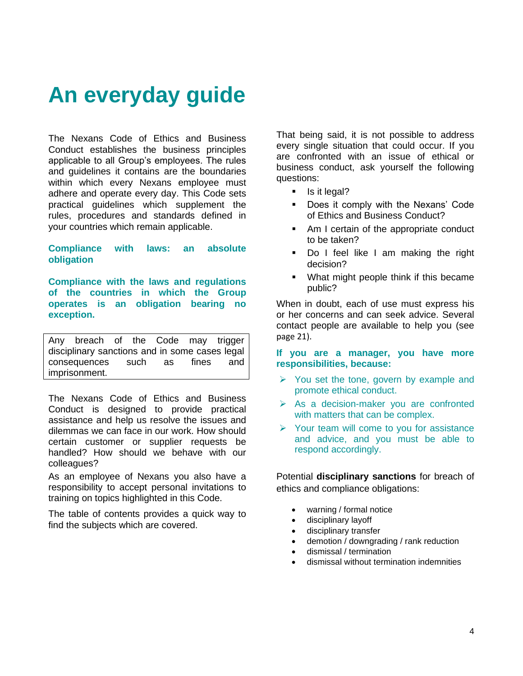### <span id="page-3-0"></span>**An everyday guide**

The Nexans Code of Ethics and Business Conduct establishes the business principles applicable to all Group's employees. The rules and guidelines it contains are the boundaries within which every Nexans employee must adhere and operate every day. This Code sets practical guidelines which supplement the rules, procedures and standards defined in your countries which remain applicable.

**Compliance with laws: an absolute obligation** 

**Compliance with the laws and regulations of the countries in which the Group operates is an obligation bearing no exception.** 

Any breach of the Code may trigger disciplinary sanctions and in some cases legal consequences such as fines and imprisonment.

The Nexans Code of Ethics and Business Conduct is designed to provide practical assistance and help us resolve the issues and dilemmas we can face in our work. How should certain customer or supplier requests be handled? How should we behave with our colleagues?

As an employee of Nexans you also have a responsibility to accept personal invitations to training on topics highlighted in this Code.

The table of contents provides a quick way to find the subjects which are covered.

That being said, it is not possible to address every single situation that could occur. If you are confronted with an issue of ethical or business conduct, ask yourself the following questions:

- Is it legal?
- Does it comply with the Nexans' Code of Ethics and Business Conduct?
- Am I certain of the appropriate conduct to be taken?
- Do I feel like I am making the right decision?
- What might people think if this became public?

When in doubt, each of use must express his or her concerns and can seek advice. Several contact people are available to help you (see page 21).

**If you are a manager, you have more responsibilities, because:** 

- ➢ You set the tone, govern by example and promote ethical conduct.
- ➢ As a decision-maker you are confronted with matters that can be complex.
- ➢ Your team will come to you for assistance and advice, and you must be able to respond accordingly.

Potential **disciplinary sanctions** for breach of ethics and compliance obligations:

- warning / formal notice
- disciplinary layoff
- disciplinary transfer
- demotion / downgrading / rank reduction
- dismissal / termination
- dismissal without termination indemnities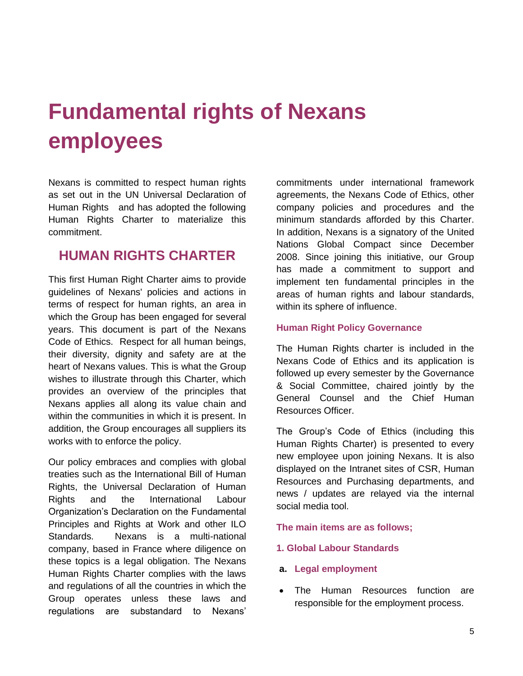### <span id="page-4-0"></span>**Fundamental rights of Nexans employees**

Nexans is committed to respect human rights as set out in the UN Universal Declaration of Human Rights and has adopted the following Human Rights Charter to materialize this commitment.

### **HUMAN RIGHTS CHARTER**

This first Human Right Charter aims to provide guidelines of Nexans' policies and actions in terms of respect for human rights, an area in which the Group has been engaged for several years. This document is part of the Nexans Code of Ethics. Respect for all human beings, their diversity, dignity and safety are at the heart of Nexans values. This is what the Group wishes to illustrate through this Charter, which provides an overview of the principles that Nexans applies all along its value chain and within the communities in which it is present. In addition, the Group encourages all suppliers its works with to enforce the policy.

Our policy embraces and complies with global treaties such as the International Bill of Human Rights, the Universal Declaration of Human Rights and the International Labour Organization's Declaration on the Fundamental Principles and Rights at Work and other ILO Standards. Nexans is a multi-national company, based in France where diligence on these topics is a legal obligation. The Nexans Human Rights Charter complies with the laws and regulations of all the countries in which the Group operates unless these laws and regulations are substandard to Nexans'

commitments under international framework agreements, the Nexans Code of Ethics, other company policies and procedures and the minimum standards afforded by this Charter. In addition, Nexans is a signatory of the United Nations Global Compact since December 2008. Since joining this initiative, our Group has made a commitment to support and implement ten fundamental principles in the areas of human rights and labour standards, within its sphere of influence.

#### **Human Right Policy Governance**

The Human Rights charter is included in the Nexans Code of Ethics and its application is followed up every semester by the Governance & Social Committee, chaired jointly by the General Counsel and the Chief Human Resources Officer.

The Group's Code of Ethics (including this Human Rights Charter) is presented to every new employee upon joining Nexans. It is also displayed on the Intranet sites of CSR, Human Resources and Purchasing departments, and news / updates are relayed via the internal social media tool.

#### **The main items are as follows;**

#### **1. Global Labour Standards**

- **a. Legal employment**
- The Human Resources function are responsible for the employment process.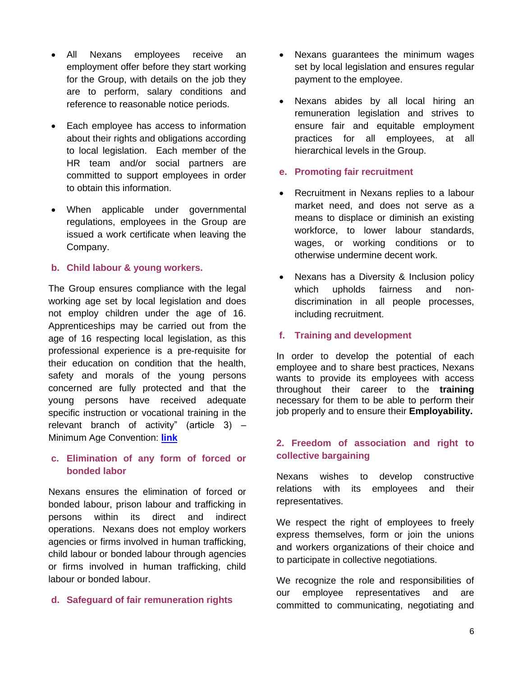- All Nexans employees receive an employment offer before they start working for the Group, with details on the job they are to perform, salary conditions and reference to reasonable notice periods.
- Each employee has access to information about their rights and obligations according to local legislation. Each member of the HR team and/or social partners are committed to support employees in order to obtain this information.
- When applicable under governmental regulations, employees in the Group are issued a work certificate when leaving the Company.

#### **b. Child labour & young workers.**

The Group ensures compliance with the legal working age set by local legislation and does not employ children under the age of 16. Apprenticeships may be carried out from the age of 16 respecting local legislation, as this professional experience is a pre-requisite for their education on condition that the health, safety and morals of the young persons concerned are fully protected and that the young persons have received adequate specific instruction or vocational training in the relevant branch of activity" (article 3) – Minimum Age Convention: **[link](https://www.ilo.org/dyn/normlex/en/f?p=NORMLEXPUB:12100:0::NO::P12100_ILO_CODE:C138#:~:text=The%20minimum%20age%20for%20admission%20to%20any%20type%20of%20employment,be%20less%20than%2018%20years)**

#### **c. Elimination of any form of forced or bonded labor**

Nexans ensures the elimination of forced or bonded labour, prison labour and trafficking in persons within its direct and indirect operations. Nexans does not employ workers agencies or firms involved in human trafficking, child labour or bonded labour through agencies or firms involved in human trafficking, child labour or bonded labour.

#### **d. Safeguard of fair remuneration rights**

- Nexans guarantees the minimum wages set by local legislation and ensures regular payment to the employee.
- Nexans abides by all local hiring an remuneration legislation and strives to ensure fair and equitable employment practices for all employees, at all hierarchical levels in the Group.

#### **e. Promoting fair recruitment**

- Recruitment in Nexans replies to a labour market need, and does not serve as a means to displace or diminish an existing workforce, to lower labour standards, wages, or working conditions or to otherwise undermine decent work.
- Nexans has a Diversity & Inclusion policy which upholds fairness and nondiscrimination in all people processes, including recruitment.

#### **f. Training and development**

In order to develop the potential of each employee and to share best practices, Nexans wants to provide its employees with access throughout their career to the **training**  necessary for them to be able to perform their job properly and to ensure their **Employability.**

#### **2. Freedom of association and right to collective bargaining**

Nexans wishes to develop constructive relations with its employees and their representatives.

We respect the right of employees to freely express themselves, form or join the unions and workers organizations of their choice and to participate in collective negotiations.

We recognize the role and responsibilities of our employee representatives and are committed to communicating, negotiating and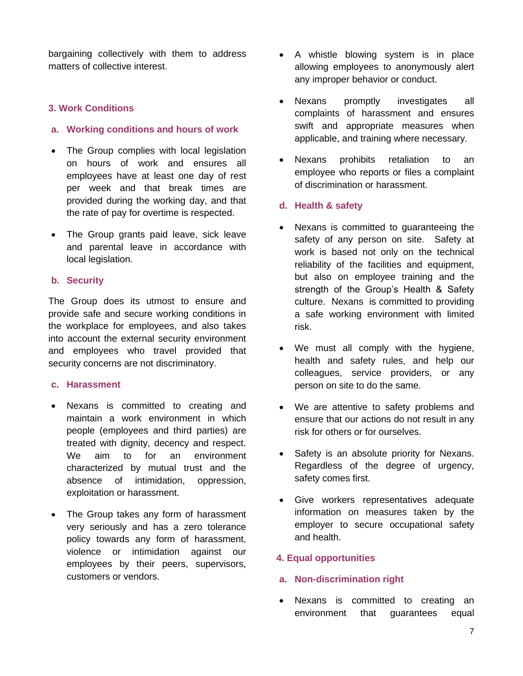bargaining collectively with them to address matters of collective interest.

#### **3. Work Conditions**

#### **a. Working conditions and hours of work**

- The Group complies with local legislation on hours of work and ensures all employees have at least one day of rest per week and that break times are provided during the working day, and that the rate of pay for overtime is respected.
- The Group grants paid leave, sick leave and parental leave in accordance with local legislation.

#### **b. Security**

The Group does its utmost to ensure and provide safe and secure working conditions in the workplace for employees, and also takes into account the external security environment and employees who travel provided that security concerns are not discriminatory.

#### **c. Harassment**

- Nexans is committed to creating and maintain a work environment in which people (employees and third parties) are treated with dignity, decency and respect. We aim to for an environment characterized by mutual trust and the absence of intimidation, oppression, exploitation or harassment.
- The Group takes any form of harassment very seriously and has a zero tolerance policy towards any form of harassment, violence or intimidation against our employees by their peers, supervisors, customers or vendors.
- A whistle blowing system is in place allowing employees to anonymously alert any improper behavior or conduct.
- Nexans promptly investigates all complaints of harassment and ensures swift and appropriate measures when applicable, and training where necessary.
- Nexans prohibits retaliation to an employee who reports or files a complaint of discrimination or harassment.

#### **d. Health & safety**

- Nexans is committed to guaranteeing the safety of any person on site. Safety at work is based not only on the technical reliability of the facilities and equipment, but also on employee training and the strength of the Group's Health & Safety culture. Nexans is committed to providing a safe working environment with limited risk.
- We must all comply with the hygiene, health and safety rules, and help our colleagues, service providers, or any person on site to do the same.
- We are attentive to safety problems and ensure that our actions do not result in any risk for others or for ourselves.
- Safety is an absolute priority for Nexans. Regardless of the degree of urgency, safety comes first.
- Give workers representatives adequate information on measures taken by the employer to secure occupational safety and health.

#### **4. Equal opportunities**

#### **a. Non-discrimination right**

Nexans is committed to creating an environment that guarantees equal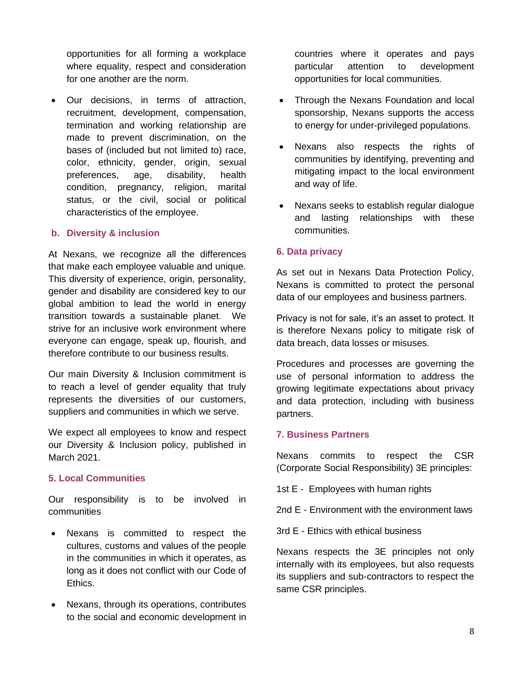opportunities for all forming a workplace where equality, respect and consideration for one another are the norm.

• Our decisions, in terms of attraction, recruitment, development, compensation, termination and working relationship are made to prevent discrimination, on the bases of (included but not limited to) race, color, ethnicity, gender, origin, sexual preferences, age, disability, health condition, pregnancy, religion, marital status, or the civil, social or political characteristics of the employee.

#### **b. Diversity & inclusion**

At Nexans, we recognize all the differences that make each employee valuable and unique. This diversity of experience, origin, personality, gender and disability are considered key to our global ambition to lead the world in energy transition towards a sustainable planet. We strive for an inclusive work environment where everyone can engage, speak up, flourish, and therefore contribute to our business results.

Our main Diversity & Inclusion commitment is to reach a level of gender equality that truly represents the diversities of our customers, suppliers and communities in which we serve.

We expect all employees to know and respect our Diversity & Inclusion policy, published in March 2021.

#### **5. Local Communities**

Our responsibility is to be involved in communities

- Nexans is committed to respect the cultures, customs and values of the people in the communities in which it operates, as long as it does not conflict with our Code of Ethics.
- Nexans, through its operations, contributes to the social and economic development in

countries where it operates and pays particular attention to development opportunities for local communities.

- Through the Nexans Foundation and local sponsorship, Nexans supports the access to energy for under-privileged populations.
- Nexans also respects the rights of communities by identifying, preventing and mitigating impact to the local environment and way of life.
- Nexans seeks to establish regular dialogue and lasting relationships with these communities.

#### **6. Data privacy**

As set out in Nexans Data Protection Policy, Nexans is committed to protect the personal data of our employees and business partners.

Privacy is not for sale, it's an asset to protect. It is therefore Nexans policy to mitigate risk of data breach, data losses or misuses.

Procedures and processes are governing the use of personal information to address the growing legitimate expectations about privacy and data protection, including with business partners.

#### **7. Business Partners**

Nexans commits to respect the CSR (Corporate Social Responsibility) 3E principles:

1st E - Employees with human rights

2nd E - Environment with the environment laws

3rd E - Ethics with ethical business

Nexans respects the 3E principles not only internally with its employees, but also requests its suppliers and sub-contractors to respect the same CSR principles.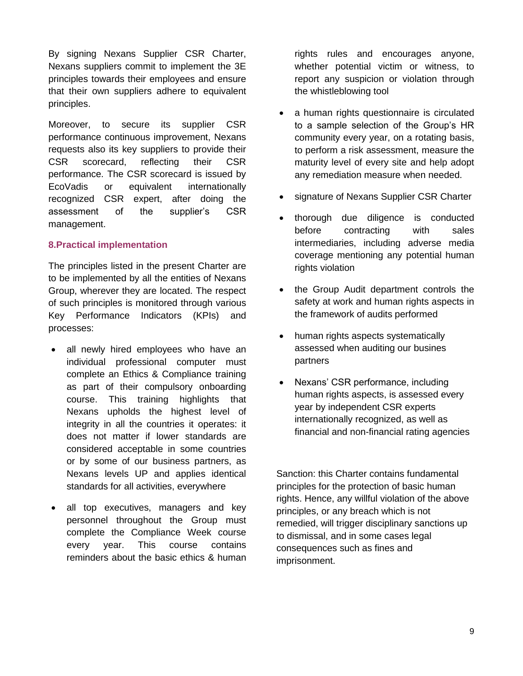By signing Nexans Supplier CSR Charter, Nexans suppliers commit to implement the 3E principles towards their employees and ensure that their own suppliers adhere to equivalent principles.

Moreover, to secure its supplier CSR performance continuous improvement, Nexans requests also its key suppliers to provide their CSR scorecard, reflecting their CSR performance. The CSR scorecard is issued by EcoVadis or equivalent internationally recognized CSR expert, after doing the assessment of the supplier's CSR management.

#### **8.Practical implementation**

The principles listed in the present Charter are to be implemented by all the entities of Nexans Group, wherever they are located. The respect of such principles is monitored through various Key Performance Indicators (KPIs) and processes:

- all newly hired employees who have an individual professional computer must complete an Ethics & Compliance training as part of their compulsory onboarding course. This training highlights that Nexans upholds the highest level of integrity in all the countries it operates: it does not matter if lower standards are considered acceptable in some countries or by some of our business partners, as Nexans levels UP and applies identical standards for all activities, everywhere
- all top executives, managers and key personnel throughout the Group must complete the Compliance Week course every year. This course contains reminders about the basic ethics & human

rights rules and encourages anyone, whether potential victim or witness, to report any suspicion or violation through the whistleblowing tool

- a human rights questionnaire is circulated to a sample selection of the Group's HR community every year, on a rotating basis, to perform a risk assessment, measure the maturity level of every site and help adopt any remediation measure when needed.
- signature of Nexans Supplier CSR Charter
- thorough due diligence is conducted before contracting with sales intermediaries, including adverse media coverage mentioning any potential human rights violation
- the Group Audit department controls the safety at work and human rights aspects in the framework of audits performed
- human rights aspects systematically assessed when auditing our busines partners
- Nexans' CSR performance, including human rights aspects, is assessed every year by independent CSR experts internationally recognized, as well as financial and non-financial rating agencies

Sanction: this Charter contains fundamental principles for the protection of basic human rights. Hence, any willful violation of the above principles, or any breach which is not remedied, will trigger disciplinary sanctions up to dismissal, and in some cases legal consequences such as fines and imprisonment.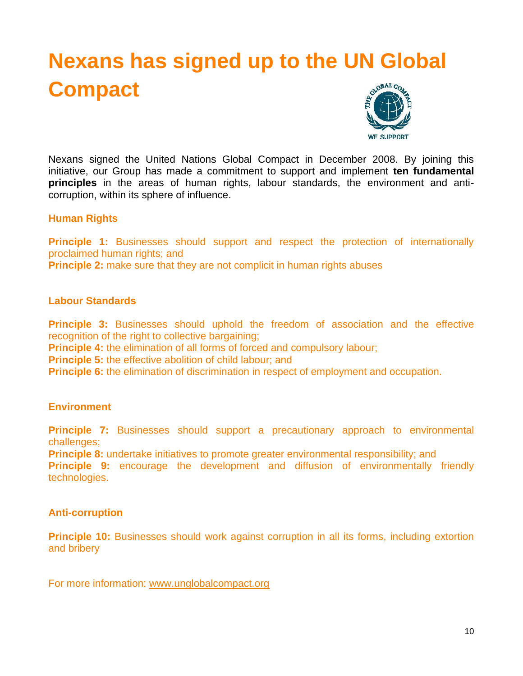### <span id="page-9-0"></span>**Nexans has signed up to the UN Global Compact**



Nexans signed the United Nations Global Compact in December 2008. By joining this initiative, our Group has made a commitment to support and implement **ten fundamental principles** in the areas of human rights, labour standards, the environment and anticorruption, within its sphere of influence.

#### **Human Rights**

**Principle 1:** Businesses should support and respect the protection of internationally proclaimed human rights; and

**Principle 2:** make sure that they are not complicit in human rights abuses

#### **Labour Standards**

**Principle 3:** Businesses should uphold the freedom of association and the effective recognition of the right to collective bargaining;

**Principle 4:** the elimination of all forms of forced and compulsory labour;

**Principle 5:** the effective abolition of child labour; and

**Principle 6:** the elimination of discrimination in respect of employment and occupation.

#### **Environment**

**Principle 7:** Businesses should support a precautionary approach to environmental challenges;

**Principle 8:** undertake initiatives to promote greater environmental responsibility; and

**Principle 9:** encourage the development and diffusion of environmentally friendly technologies.

#### **Anti-corruption**

**Principle 10:** Businesses should work against corruption in all its forms, including extortion and bribery

For more information: www.unglobalcompact.org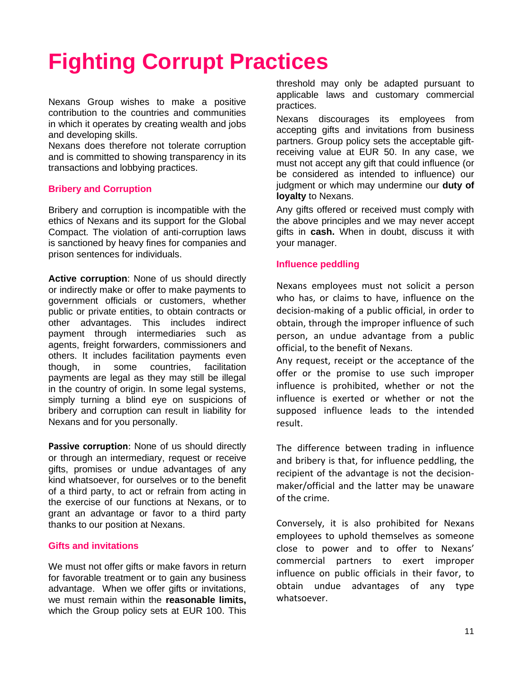# <span id="page-10-0"></span>**Fighting Corrupt Practices**

Nexans Group wishes to make a positive contribution to the countries and communities in which it operates by creating wealth and jobs and developing skills.

Nexans does therefore not tolerate corruption and is committed to showing transparency in its transactions and lobbying practices.

#### **Bribery and Corruption**

Bribery and corruption is incompatible with the ethics of Nexans and its support for the Global Compact. The violation of anti-corruption laws is sanctioned by heavy fines for companies and prison sentences for individuals.

**Active corruption**: None of us should directly or indirectly make or offer to make payments to government officials or customers, whether public or private entities, to obtain contracts or other advantages. This includes indirect payment through intermediaries such as agents, freight forwarders, commissioners and others. It includes facilitation payments even though, in some countries, facilitation payments are legal as they may still be illegal in the country of origin. In some legal systems, simply turning a blind eye on suspicions of bribery and corruption can result in liability for Nexans and for you personally.

**Passive corruption**: None of us should directly or through an intermediary, request or receive gifts, promises or undue advantages of any kind whatsoever, for ourselves or to the benefit of a third party, to act or refrain from acting in the exercise of our functions at Nexans, or to grant an advantage or favor to a third party thanks to our position at Nexans.

#### **Gifts and invitations**

We must not offer gifts or make favors in return for favorable treatment or to gain any business advantage. When we offer gifts or invitations, we must remain within the **reasonable limits,**  which the Group policy sets at EUR 100. This threshold may only be adapted pursuant to applicable laws and customary commercial practices.

Nexans discourages its employees from accepting gifts and invitations from business partners. Group policy sets the acceptable giftreceiving value at EUR 50. In any case, we must not accept any gift that could influence (or be considered as intended to influence) our judgment or which may undermine our **duty of loyalty** to Nexans.

Any gifts offered or received must comply with the above principles and we may never accept gifts in **cash.** When in doubt, discuss it with your manager.

#### **Influence peddling**

Nexans employees must not solicit a person who has, or claims to have, influence on the decision-making of a public official, in order to obtain, through the improper influence of such person, an undue advantage from a public official, to the benefit of Nexans.

Any request, receipt or the acceptance of the offer or the promise to use such improper influence is prohibited, whether or not the influence is exerted or whether or not the supposed influence leads to the intended result.

The difference between trading in influence and bribery is that, for influence peddling, the recipient of the advantage is not the decisionmaker/official and the latter may be unaware of the crime.

Conversely, it is also prohibited for Nexans employees to uphold themselves as someone close to power and to offer to Nexans' commercial partners to exert improper influence on public officials in their favor, to obtain undue advantages of any type whatsoever.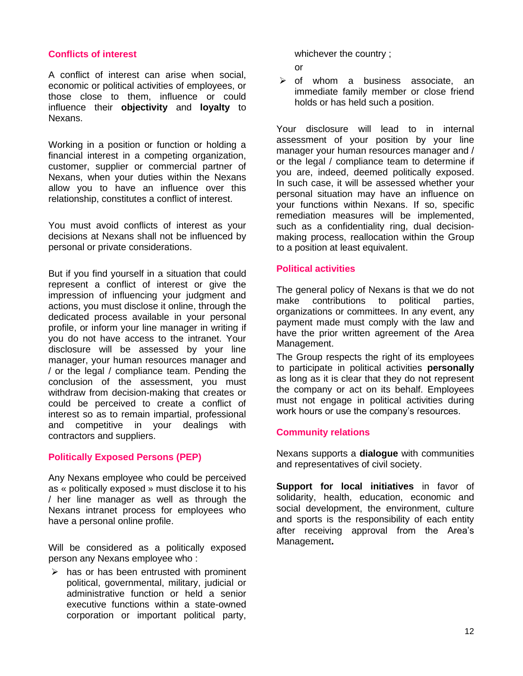#### **Conflicts of interest**

A conflict of interest can arise when social, economic or political activities of employees, or those close to them, influence or could influence their **objectivity** and **loyalty** to Nexans.

Working in a position or function or holding a financial interest in a competing organization, customer, supplier or commercial partner of Nexans, when your duties within the Nexans allow you to have an influence over this relationship, constitutes a conflict of interest.

You must avoid conflicts of interest as your decisions at Nexans shall not be influenced by personal or private considerations.

But if you find yourself in a situation that could represent a conflict of interest or give the impression of influencing your judgment and actions, you must disclose it online, through the dedicated process available in your personal profile, or inform your line manager in writing if you do not have access to the intranet. Your disclosure will be assessed by your line manager, your human resources manager and / or the legal / compliance team. Pending the conclusion of the assessment, you must withdraw from decision-making that creates or could be perceived to create a conflict of interest so as to remain impartial, professional and competitive in your dealings with contractors and suppliers.

#### **Politically Exposed Persons (PEP)**

Any Nexans employee who could be perceived as « politically exposed » must disclose it to his / her line manager as well as through the Nexans intranet process for employees who have a personal online profile.

Will be considered as a politically exposed person any Nexans employee who :

 $\triangleright$  has or has been entrusted with prominent political, governmental, military, judicial or administrative function or held a senior executive functions within a state-owned corporation or important political party,

whichever the country ;

or

 $\geq$  of whom a business associate, an immediate family member or close friend holds or has held such a position.

Your disclosure will lead to in internal assessment of your position by your line manager your human resources manager and / or the legal / compliance team to determine if you are, indeed, deemed politically exposed. In such case, it will be assessed whether your personal situation may have an influence on your functions within Nexans. If so, specific remediation measures will be implemented, such as a confidentiality ring, dual decisionmaking process, reallocation within the Group to a position at least equivalent.

#### **Political activities**

The general policy of Nexans is that we do not make contributions to political parties, organizations or committees. In any event, any payment made must comply with the law and have the prior written agreement of the Area Management.

The Group respects the right of its employees to participate in political activities **personally**  as long as it is clear that they do not represent the company or act on its behalf. Employees must not engage in political activities during work hours or use the company's resources.

#### **Community relations**

Nexans supports a **dialogue** with communities and representatives of civil society.

**Support for local initiatives** in favor of solidarity, health, education, economic and social development, the environment, culture and sports is the responsibility of each entity after receiving approval from the Area's Management**.**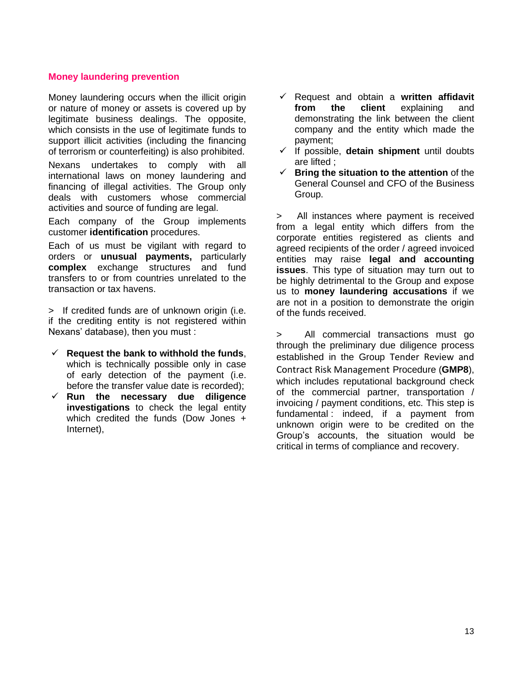#### **Money laundering prevention**

Money laundering occurs when the illicit origin or nature of money or assets is covered up by legitimate business dealings. The opposite, which consists in the use of legitimate funds to support illicit activities (including the financing of terrorism or counterfeiting) is also prohibited.

Nexans undertakes to comply with all international laws on money laundering and financing of illegal activities. The Group only deals with customers whose commercial activities and source of funding are legal.

Each company of the Group implements customer **identification** procedures.

Each of us must be vigilant with regard to orders or **unusual payments,** particularly **complex** exchange structures and fund transfers to or from countries unrelated to the transaction or tax havens.

> If credited funds are of unknown origin (i.e. if the crediting entity is not registered within Nexans' database), then you must :

- ✓ **Request the bank to withhold the funds**, which is technically possible only in case of early detection of the payment (i.e. before the transfer value date is recorded);
- ✓ **Run the necessary due diligence investigations** to check the legal entity which credited the funds (Dow Jones + Internet),
- ✓ Request and obtain a **written affidavit from the client** explaining and demonstrating the link between the client company and the entity which made the payment;
- ✓ If possible, **detain shipment** until doubts are lifted ;
- ✓ **Bring the situation to the attention** of the General Counsel and CFO of the Business Group.

> All instances where payment is received from a legal entity which differs from the corporate entities registered as clients and agreed recipients of the order / agreed invoiced entities may raise **legal and accounting issues**. This type of situation may turn out to be highly detrimental to the Group and expose us to **money laundering accusations** if we are not in a position to demonstrate the origin of the funds received.

> All commercial transactions must go through the preliminary due diligence process established in the Group Tender Review and Contract Risk Management Procedure (**GMP8**), which includes reputational background check of the commercial partner, transportation / invoicing / payment conditions, etc. This step is fundamental : indeed, if a payment from unknown origin were to be credited on the Group's accounts, the situation would be critical in terms of compliance and recovery.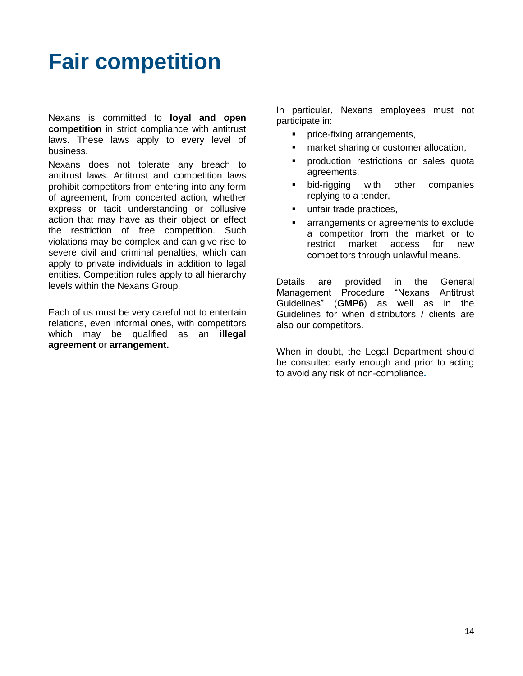### <span id="page-13-0"></span>**Fair competition**

Nexans is committed to **loyal and open competition** in strict compliance with antitrust laws. These laws apply to every level of business.

Nexans does not tolerate any breach to antitrust laws. Antitrust and competition laws prohibit competitors from entering into any form of agreement, from concerted action, whether express or tacit understanding or collusive action that may have as their object or effect the restriction of free competition. Such violations may be complex and can give rise to severe civil and criminal penalties, which can apply to private individuals in addition to legal entities. Competition rules apply to all hierarchy levels within the Nexans Group.

Each of us must be very careful not to entertain relations, even informal ones, with competitors which may be qualified as an **illegal agreement** or **arrangement.** 

In particular, Nexans employees must not participate in:

- price-fixing arrangements,
- market sharing or customer allocation,
- production restrictions or sales quota agreements,
- bid-rigging with other companies replying to a tender,
- unfair trade practices,
- arrangements or agreements to exclude a competitor from the market or to restrict market access for new competitors through unlawful means.

Details are provided in the General Management Procedure "Nexans Antitrust Guidelines" (**GMP6**) as well as in the Guidelines for when distributors / clients are also our competitors.

When in doubt, the Legal Department should be consulted early enough and prior to acting to avoid any risk of non-compliance**.**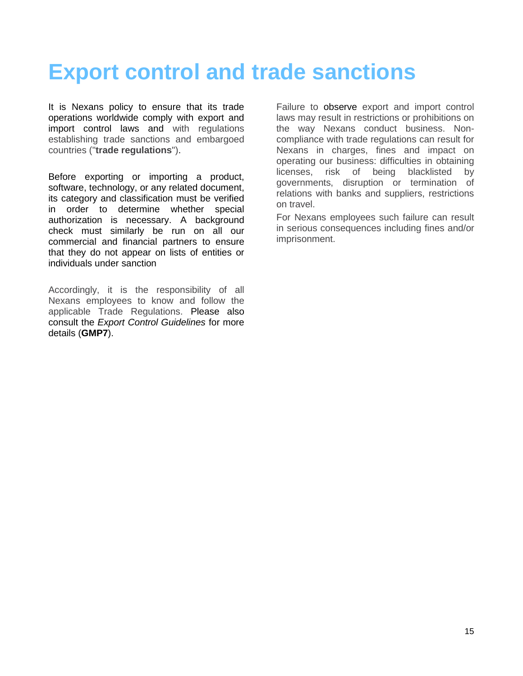### <span id="page-14-0"></span>**Export control and trade sanctions**

It is Nexans policy to ensure that its trade operations worldwide comply with export and import control laws and with regulations establishing trade sanctions and embargoed countries ("**trade regulations**").

Before exporting or importing a product, software, technology, or any related document, its category and classification must be verified in order to determine whether special authorization is necessary. A background check must similarly be run on all our commercial and financial partners to ensure that they do not appear on lists of entities or individuals under sanction

Accordingly, it is the responsibility of all Nexans employees to know and follow the applicable Trade Regulations. Please also consult the *Export Control Guidelines* for more details (**GMP7**).

Failure to observe export and import control laws may result in restrictions or prohibitions on the way Nexans conduct business. Noncompliance with trade regulations can result for Nexans in charges, fines and impact on operating our business: difficulties in obtaining licenses, risk of being blacklisted by governments, disruption or termination of relations with banks and suppliers, restrictions on travel.

For Nexans employees such failure can result in serious consequences including fines and/or imprisonment.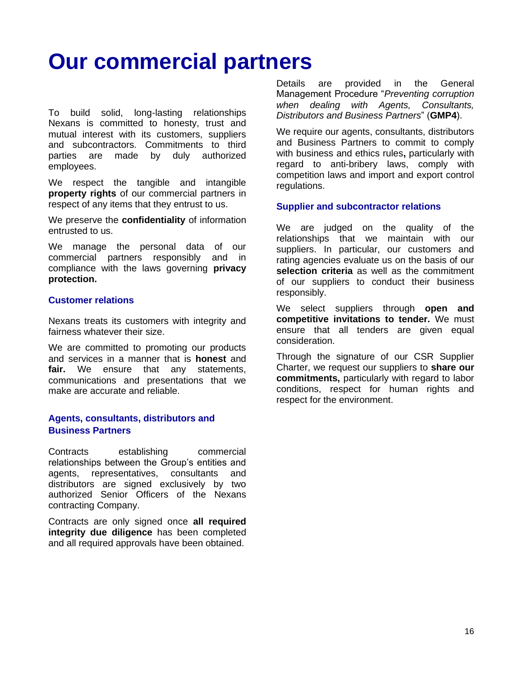### <span id="page-15-0"></span>**Our commercial partners**

To build solid, long-lasting relationships Nexans is committed to honesty, trust and mutual interest with its customers, suppliers and subcontractors. Commitments to third parties are made by duly authorized employees.

We respect the tangible and intangible **property rights** of our commercial partners in respect of any items that they entrust to us.

We preserve the **confidentiality** of information entrusted to us.

We manage the personal data of our commercial partners responsibly and in compliance with the laws governing **privacy protection.**

#### **Customer relations**

Nexans treats its customers with integrity and fairness whatever their size.

We are committed to promoting our products and services in a manner that is **honest** and **fair.** We ensure that any statements, communications and presentations that we make are accurate and reliable.

#### **Agents, consultants, distributors and Business Partners**

Contracts establishing commercial relationships between the Group's entities and agents, representatives, consultants and distributors are signed exclusively by two authorized Senior Officers of the Nexans contracting Company.

<span id="page-15-1"></span>Contracts are only signed once **all required integrity due diligence** has been completed and all required approvals have been obtained.

Details are provided in the General Management Procedure "*Preventing corruption when dealing with Agents, Consultants, Distributors and Business Partners*" (**GMP4**).

We require our agents, consultants, distributors and Business Partners to commit to comply with business and ethics rules**,** particularly with regard to anti-bribery laws, comply with competition laws and import and export control regulations.

#### **Supplier and subcontractor relations**

We are judged on the quality of the relationships that we maintain with our suppliers. In particular, our customers and rating agencies evaluate us on the basis of our **selection criteria** as well as the commitment of our suppliers to conduct their business responsibly.

We select suppliers through **open and competitive invitations to tender.** We must ensure that all tenders are given equal consideration.

Through the signature of our CSR Supplier Charter, we request our suppliers to **share our commitments,** particularly with regard to labor conditions, respect for human rights and respect for the environment.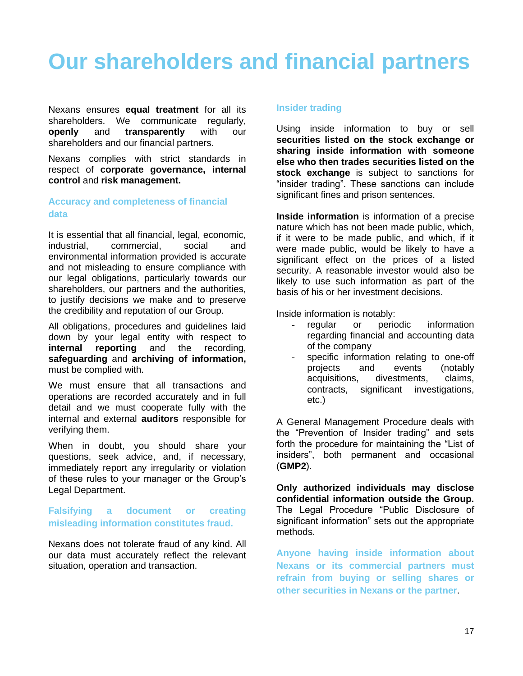### **Our shareholders and financial partners**

Nexans ensures **equal treatment** for all its shareholders. We communicate regularly, **openly** and **transparently** with our shareholders and our financial partners.

Nexans complies with strict standards in respect of **corporate governance, internal control** and **risk management.**

#### **Accuracy and completeness of financial data**

It is essential that all financial, legal, economic, industrial, commercial, social and environmental information provided is accurate and not misleading to ensure compliance with our legal obligations, particularly towards our shareholders, our partners and the authorities, to justify decisions we make and to preserve the credibility and reputation of our Group.

All obligations, procedures and guidelines laid down by your legal entity with respect to **internal reporting** and the recording, **safeguarding** and **archiving of information,**  must be complied with.

We must ensure that all transactions and operations are recorded accurately and in full detail and we must cooperate fully with the internal and external **auditors** responsible for verifying them.

When in doubt, you should share your questions, seek advice, and, if necessary, immediately report any irregularity or violation of these rules to your manager or the Group's Legal Department.

#### **Falsifying a document or creating misleading information constitutes fraud.**

Nexans does not tolerate fraud of any kind. All our data must accurately reflect the relevant situation, operation and transaction.

#### **Insider trading**

Using inside information to buy or sell **securities listed on the stock exchange or sharing inside information with someone else who then trades securities listed on the stock exchange** is subject to sanctions for "insider trading". These sanctions can include significant fines and prison sentences.

**Inside information** is information of a precise nature which has not been made public, which, if it were to be made public, and which, if it were made public, would be likely to have a significant effect on the prices of a listed security. A reasonable investor would also be likely to use such information as part of the basis of his or her investment decisions.

Inside information is notably:

- regular or periodic information regarding financial and accounting data of the company
- specific information relating to one-off projects and events (notably acquisitions, divestments, claims, contracts, significant investigations, etc.)

A General Management Procedure deals with the "Prevention of Insider trading" and sets forth the procedure for maintaining the "List of insiders", both permanent and occasional (**GMP2**).

**Only authorized individuals may disclose confidential information outside the Group.**  The Legal Procedure "Public Disclosure of significant information" sets out the appropriate methods.

**Anyone having inside information about Nexans or its commercial partners must refrain from buying or selling shares or other securities in Nexans or the partner**.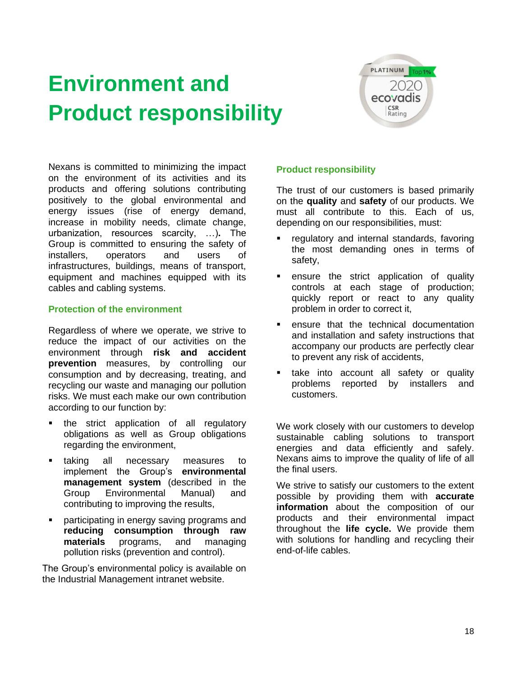## <span id="page-17-0"></span>**Environment and Product responsibility**



Nexans is committed to minimizing the impact on the environment of its activities and its products and offering solutions contributing positively to the global environmental and energy issues (rise of energy demand, increase in mobility needs, climate change, urbanization, resources scarcity, …)**.** The Group is committed to ensuring the safety of installers, operators and users of infrastructures, buildings, means of transport, equipment and machines equipped with its cables and cabling systems.

#### **Protection of the environment**

Regardless of where we operate, we strive to reduce the impact of our activities on the environment through **risk and accident prevention** measures, by controlling our consumption and by decreasing, treating, and recycling our waste and managing our pollution risks. We must each make our own contribution according to our function by:

- the strict application of all regulatory obligations as well as Group obligations regarding the environment,
- taking all necessary measures to implement the Group's **environmental management system** (described in the Group Environmental Manual) and contributing to improving the results,
- participating in energy saving programs and **reducing consumption through raw materials** programs, and managing pollution risks (prevention and control).

The Group's environmental policy is available on the Industrial Management intranet website.

#### **Product responsibility**

The trust of our customers is based primarily on the **quality** and **safety** of our products. We must all contribute to this. Each of us, depending on our responsibilities, must:

- **EXE** regulatory and internal standards, favoring the most demanding ones in terms of safety,
- **EXEC** ensure the strict application of quality controls at each stage of production; quickly report or react to any quality problem in order to correct it,
- ensure that the technical documentation and installation and safety instructions that accompany our products are perfectly clear to prevent any risk of accidents,
- **E** take into account all safety or quality problems reported by installers and customers.

We work closely with our customers to develop sustainable cabling solutions to transport energies and data efficiently and safely. Nexans aims to improve the quality of life of all the final users.

We strive to satisfy our customers to the extent possible by providing them with **accurate information** about the composition of our products and their environmental impact throughout the **life cycle.** We provide them with solutions for handling and recycling their end-of-life cables.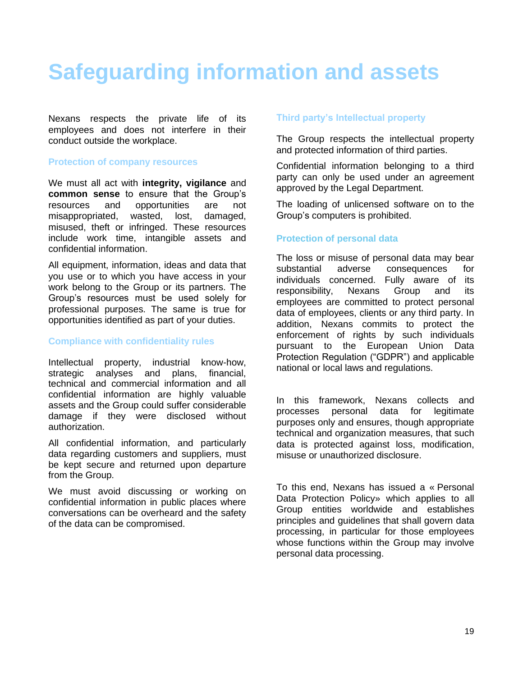### <span id="page-18-0"></span>**Safeguarding information and assets**

Nexans respects the private life of its employees and does not interfere in their conduct outside the workplace.

#### **Protection of company resources**

We must all act with **integrity, vigilance** and **common sense** to ensure that the Group's resources and opportunities are not misappropriated, wasted, lost, damaged, misused, theft or infringed. These resources include work time, intangible assets and confidential information.

All equipment, information, ideas and data that you use or to which you have access in your work belong to the Group or its partners. The Group's resources must be used solely for professional purposes. The same is true for opportunities identified as part of your duties.

#### **Compliance with confidentiality rules**

Intellectual property, industrial know-how, strategic analyses and plans, financial, technical and commercial information and all confidential information are highly valuable assets and the Group could suffer considerable damage if they were disclosed without authorization.

All confidential information, and particularly data regarding customers and suppliers, must be kept secure and returned upon departure from the Group.

We must avoid discussing or working on confidential information in public places where conversations can be overheard and the safety of the data can be compromised.

#### **Third party's Intellectual property**

The Group respects the intellectual property and protected information of third parties.

Confidential information belonging to a third party can only be used under an agreement approved by the Legal Department.

The loading of unlicensed software on to the Group's computers is prohibited.

#### **Protection of personal data**

The loss or misuse of personal data may bear substantial adverse consequences for individuals concerned. Fully aware of its responsibility, Nexans Group and its employees are committed to protect personal data of employees, clients or any third party. In addition, Nexans commits to protect the enforcement of rights by such individuals pursuant to the European Union Data Protection Regulation ("GDPR") and applicable national or local laws and regulations.

In this framework, Nexans collects and processes personal data for legitimate purposes only and ensures, though appropriate technical and organization measures, that such data is protected against loss, modification, misuse or unauthorized disclosure.

To this end, Nexans has issued a « Personal Data Protection Policy» which applies to all Group entities worldwide and establishes principles and guidelines that shall govern data processing, in particular for those employees whose functions within the Group may involve personal data processing.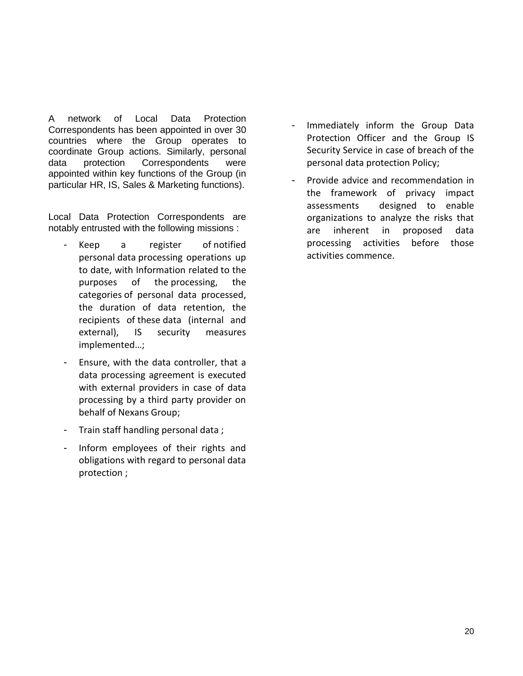A network of Local Data Protection Correspondents has been appointed in over 30 countries where the Group operates to coordinate Group actions. Similarly, personal data protection Correspondents were appointed within key functions of the Group (in particular HR, IS, Sales & Marketing functions).

Local Data Protection Correspondents are notably entrusted with the following missions :

- Keep a register of notified personal data processing operations up to date, with Information related to the purposes of the processing, the categories of personal data processed, the duration of data retention, the recipients of these data (internal and external), IS security measures implemented…;
- Ensure, with the data controller, that a data processing agreement is executed with external providers in case of data processing by a third party provider on behalf of Nexans Group;
- Train staff handling personal data ;
- Inform employees of their rights and obligations with regard to personal data protection ;
- Immediately inform the Group Data Protection Officer and the Group IS Security Service in case of breach of the personal data protection Policy;
- Provide advice and recommendation in the framework of privacy impact assessments designed to enable organizations to analyze the risks that are inherent in proposed data processing activities before those activities commence.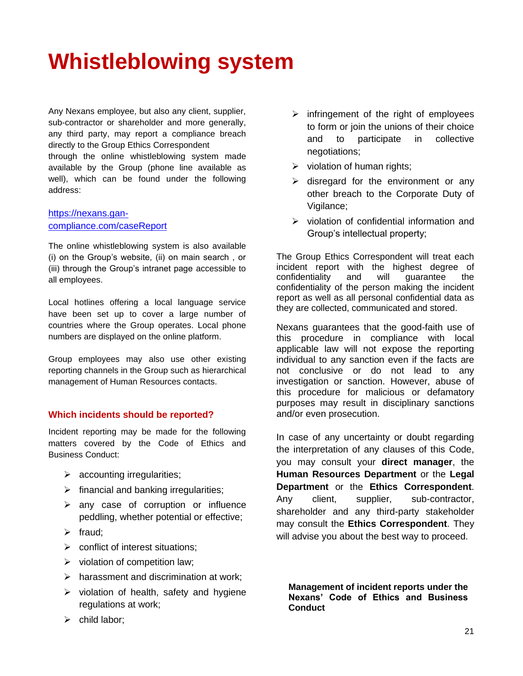### <span id="page-20-0"></span>**Whistleblowing system**

Any Nexans employee, but also any client, supplier, sub-contractor or shareholder and more generally, any third party, may report a compliance breach directly to the Group Ethics Correspondent through the online whistleblowing system made available by the Group (phone line available as well), which can be found under the following address:

#### [https://nexans.gan](https://nexans.gan-compliance.com/caseReport)[compliance.com/caseReport](https://nexans.gan-compliance.com/caseReport)

The online whistleblowing system is also available (i) on the Group's website, (ii) on main search , or (iii) through the Group's intranet page accessible to all employees.

Local hotlines offering a local language service have been set up to cover a large number of countries where the Group operates. Local phone numbers are displayed on the online platform.

Group employees may also use other existing reporting channels in the Group such as hierarchical management of Human Resources contacts.

#### **Which incidents should be reported?**

Incident reporting may be made for the following matters covered by the Code of Ethics and Business Conduct:

- $\triangleright$  accounting irregularities;
- $\triangleright$  financial and banking irregularities;
- $\triangleright$  any case of corruption or influence peddling, whether potential or effective;
- $\triangleright$  fraud:
- $\triangleright$  conflict of interest situations:
- $\triangleright$  violation of competition law;
- $\triangleright$  harassment and discrimination at work;
- $\triangleright$  violation of health, safety and hygiene regulations at work;
- $\triangleright$  child labor:
- $\triangleright$  infringement of the right of employees to form or join the unions of their choice and to participate in collective negotiations;
- $\triangleright$  violation of human rights;
- $\triangleright$  disregard for the environment or any other breach to the Corporate Duty of Vigilance;
- ➢ violation of confidential information and Group's intellectual property;

The Group Ethics Correspondent will treat each incident report with the highest degree of confidentiality and will guarantee the confidentiality of the person making the incident report as well as all personal confidential data as they are collected, communicated and stored.

Nexans guarantees that the good-faith use of this procedure in compliance with local applicable law will not expose the reporting individual to any sanction even if the facts are not conclusive or do not lead to any investigation or sanction. However, abuse of this procedure for malicious or defamatory purposes may result in disciplinary sanctions and/or even prosecution.

In case of any uncertainty or doubt regarding the interpretation of any clauses of this Code, you may consult your **direct manager**, the **Human Resources Department** or the **Legal Department** or the **Ethics Correspondent**. Any client, supplier, sub-contractor, shareholder and any third-party stakeholder may consult the **Ethics Correspondent**. They will advise you about the best way to proceed.

**Management of incident reports under the Nexans' Code of Ethics and Business Conduct**